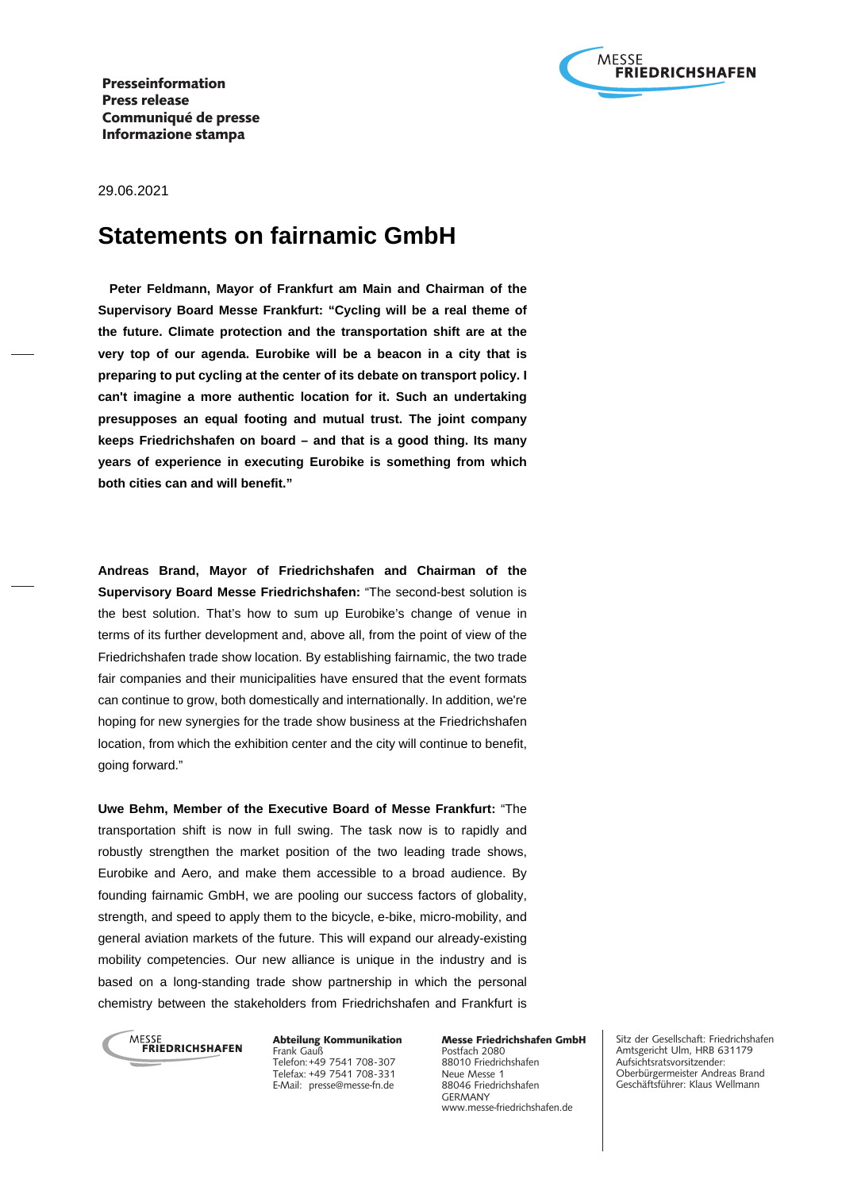

29.06.2021

# **Statements on fairnamic GmbH**

 **Peter Feldmann, Mayor of Frankfurt am Main and Chairman of the Supervisory Board Messe Frankfurt: "Cycling will be a real theme of the future. Climate protection and the transportation shift are at the very top of our agenda. Eurobike will be a beacon in a city that is preparing to put cycling at the center of its debate on transport policy. I can't imagine a more authentic location for it. Such an undertaking presupposes an equal footing and mutual trust. The joint company keeps Friedrichshafen on board – and that is a good thing. Its many years of experience in executing Eurobike is something from which both cities can and will benefit."**

**Andreas Brand, Mayor of Friedrichshafen and Chairman of the Supervisory Board Messe Friedrichshafen:** "The second-best solution is the best solution. That's how to sum up Eurobike's change of venue in terms of its further development and, above all, from the point of view of the Friedrichshafen trade show location. By establishing fairnamic, the two trade fair companies and their municipalities have ensured that the event formats can continue to grow, both domestically and internationally. In addition, we're hoping for new synergies for the trade show business at the Friedrichshafen location, from which the exhibition center and the city will continue to benefit, going forward."

**Uwe Behm, Member of the Executive Board of Messe Frankfurt:** "The transportation shift is now in full swing. The task now is to rapidly and robustly strengthen the market position of the two leading trade shows, Eurobike and Aero, and make them accessible to a broad audience. By founding fairnamic GmbH, we are pooling our success factors of globality, strength, and speed to apply them to the bicycle, e-bike, micro-mobility, and general aviation markets of the future. This will expand our already-existing mobility competencies. Our new alliance is unique in the industry and is based on a long-standing trade show partnership in which the personal chemistry between the stakeholders from Friedrichshafen and Frankfurt is



Abteilung Kommunikation Frank Gauß Telefon: +49 7541 708-307 Telefax: +49 7541 708-331 E-Mail: presse@messe-fn.de

Messe Friedrichshafen GmbH Postfach 2080 88010 Friedrichshafen Neue Messe 1 88046 Friedrichshafen GERMANY www.messe-friedrichshafen.de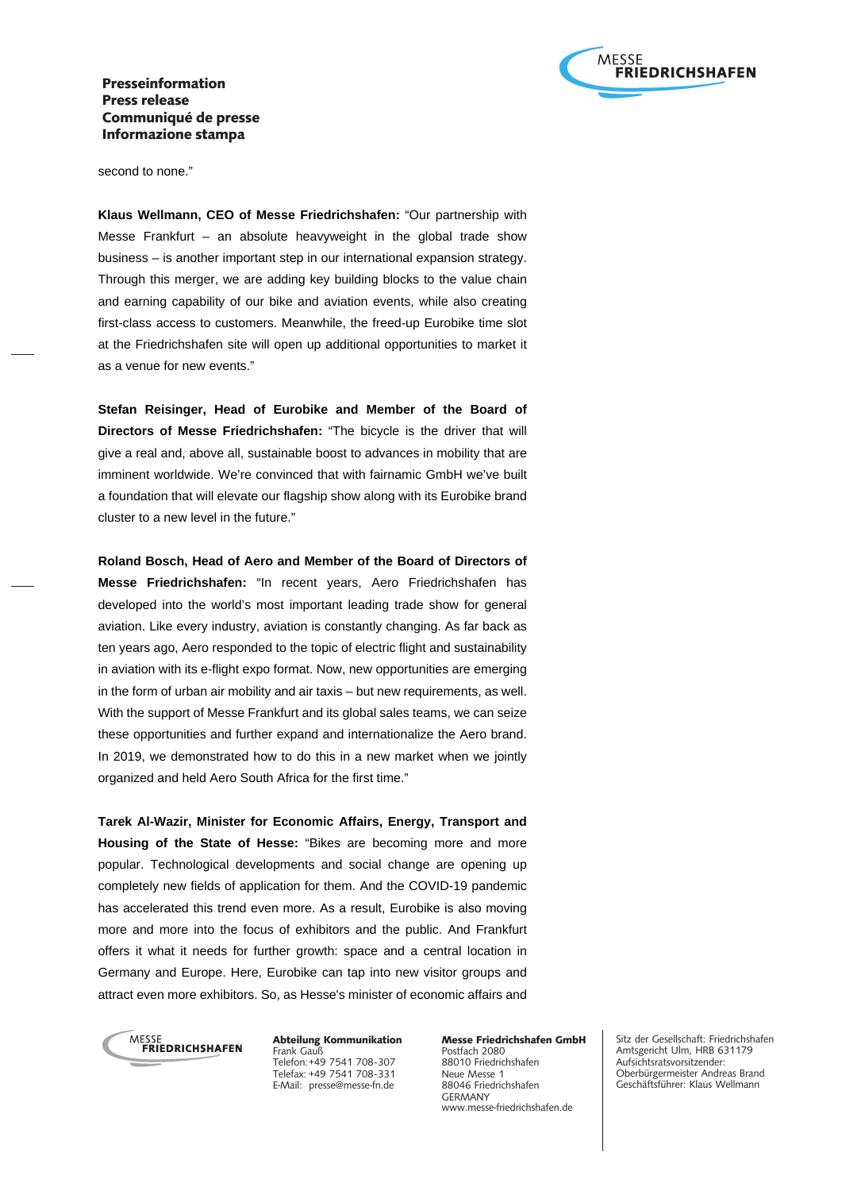

second to none."

**Klaus Wellmann, CEO of Messe Friedrichshafen:** "Our partnership with Messe Frankfurt – an absolute heavyweight in the global trade show business – is another important step in our international expansion strategy. Through this merger, we are adding key building blocks to the value chain and earning capability of our bike and aviation events, while also creating first-class access to customers. Meanwhile, the freed-up Eurobike time slot at the Friedrichshafen site will open up additional opportunities to market it as a venue for new events."

**Stefan Reisinger, Head of Eurobike and Member of the Board of Directors of Messe Friedrichshafen:** "The bicycle is the driver that will give a real and, above all, sustainable boost to advances in mobility that are imminent worldwide. We're convinced that with fairnamic GmbH we've built a foundation that will elevate our flagship show along with its Eurobike brand cluster to a new level in the future."

**Roland Bosch, Head of Aero and Member of the Board of Directors of Messe Friedrichshafen:** "In recent years, Aero Friedrichshafen has developed into the world's most important leading trade show for general aviation. Like every industry, aviation is constantly changing. As far back as ten years ago, Aero responded to the topic of electric flight and sustainability in aviation with its e-flight expo format. Now, new opportunities are emerging in the form of urban air mobility and air taxis – but new requirements, as well. With the support of Messe Frankfurt and its global sales teams, we can seize these opportunities and further expand and internationalize the Aero brand. In 2019, we demonstrated how to do this in a new market when we jointly organized and held Aero South Africa for the first time."

**Tarek Al-Wazir, Minister for Economic Affairs, Energy, Transport and Housing of the State of Hesse:** "Bikes are becoming more and more popular. Technological developments and social change are opening up completely new fields of application for them. And the COVID-19 pandemic has accelerated this trend even more. As a result, Eurobike is also moving more and more into the focus of exhibitors and the public. And Frankfurt offers it what it needs for further growth: space and a central location in Germany and Europe. Here, Eurobike can tap into new visitor groups and attract even more exhibitors. So, as Hesse's minister of economic affairs and



Abteilung Kommunikation Frank Gauß Telefon: +49 7541 708-307 Telefax: +49 7541 708-331 E-Mail: presse@messe-fn.de

Messe Friedrichshafen GmbH Postfach 2080 88010 Friedrichshafen Neue Messe 1 88046 Friedrichshafen GERMANY www.messe-friedrichshafen.de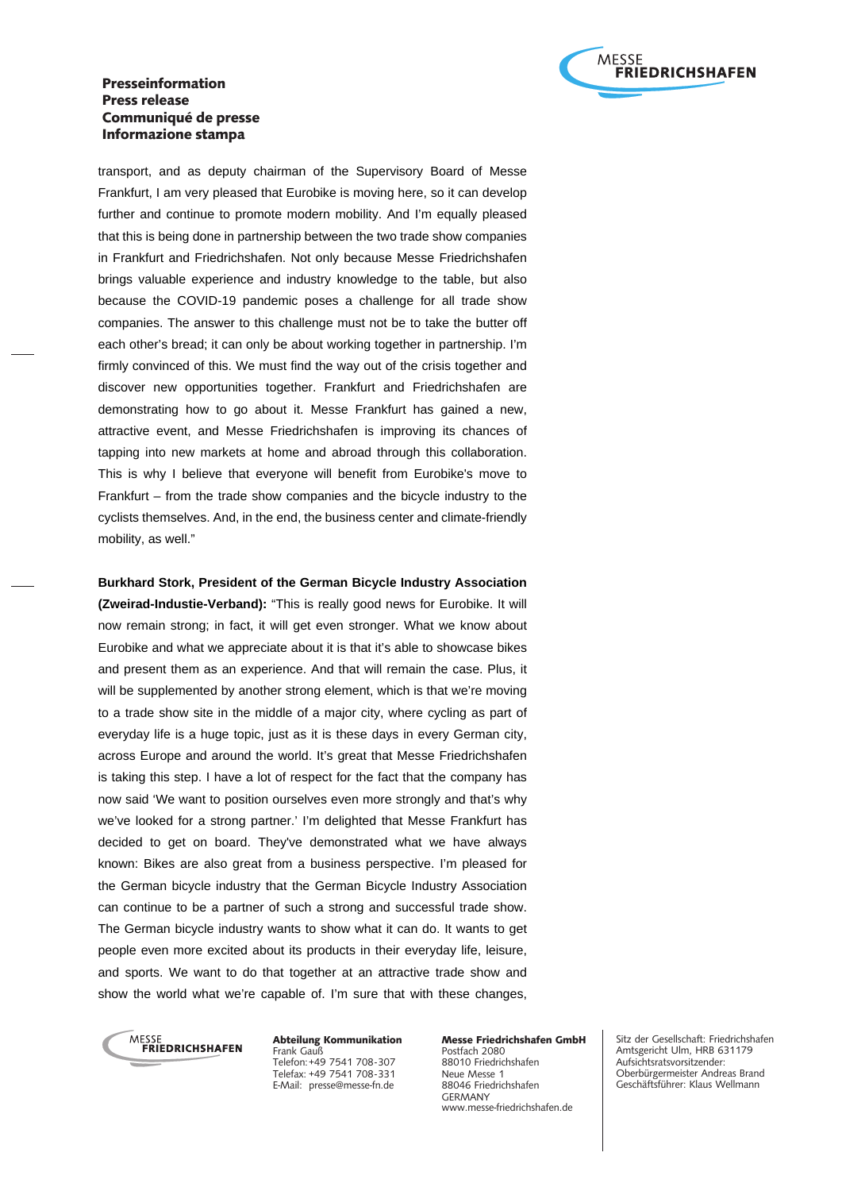

transport, and as deputy chairman of the Supervisory Board of Messe Frankfurt, I am very pleased that Eurobike is moving here, so it can develop further and continue to promote modern mobility. And I'm equally pleased that this is being done in partnership between the two trade show companies in Frankfurt and Friedrichshafen. Not only because Messe Friedrichshafen brings valuable experience and industry knowledge to the table, but also because the COVID-19 pandemic poses a challenge for all trade show companies. The answer to this challenge must not be to take the butter off each other's bread; it can only be about working together in partnership. I'm firmly convinced of this. We must find the way out of the crisis together and discover new opportunities together. Frankfurt and Friedrichshafen are demonstrating how to go about it. Messe Frankfurt has gained a new, attractive event, and Messe Friedrichshafen is improving its chances of tapping into new markets at home and abroad through this collaboration. This is why I believe that everyone will benefit from Eurobike's move to Frankfurt – from the trade show companies and the bicycle industry to the cyclists themselves. And, in the end, the business center and climate-friendly mobility, as well."

**Burkhard Stork, President of the German Bicycle Industry Association (Zweirad-Industie-Verband):** "This is really good news for Eurobike. It will now remain strong; in fact, it will get even stronger. What we know about Eurobike and what we appreciate about it is that it's able to showcase bikes and present them as an experience. And that will remain the case. Plus, it will be supplemented by another strong element, which is that we're moving to a trade show site in the middle of a major city, where cycling as part of everyday life is a huge topic, just as it is these days in every German city, across Europe and around the world. It's great that Messe Friedrichshafen is taking this step. I have a lot of respect for the fact that the company has now said 'We want to position ourselves even more strongly and that's why we've looked for a strong partner.' I'm delighted that Messe Frankfurt has decided to get on board. They've demonstrated what we have always known: Bikes are also great from a business perspective. I'm pleased for the German bicycle industry that the German Bicycle Industry Association can continue to be a partner of such a strong and successful trade show. The German bicycle industry wants to show what it can do. It wants to get people even more excited about its products in their everyday life, leisure, and sports. We want to do that together at an attractive trade show and show the world what we're capable of. I'm sure that with these changes,



Abteilung Kommunikation Frank Gauß Telefon: +49 7541 708-307 Telefax: +49 7541 708-331 E-Mail: presse@messe-fn.de

Messe Friedrichshafen GmbH Postfach 2080 88010 Friedrichshafen Neue Messe 1 88046 Friedrichshafen GERMANY www.messe-friedrichshafen.de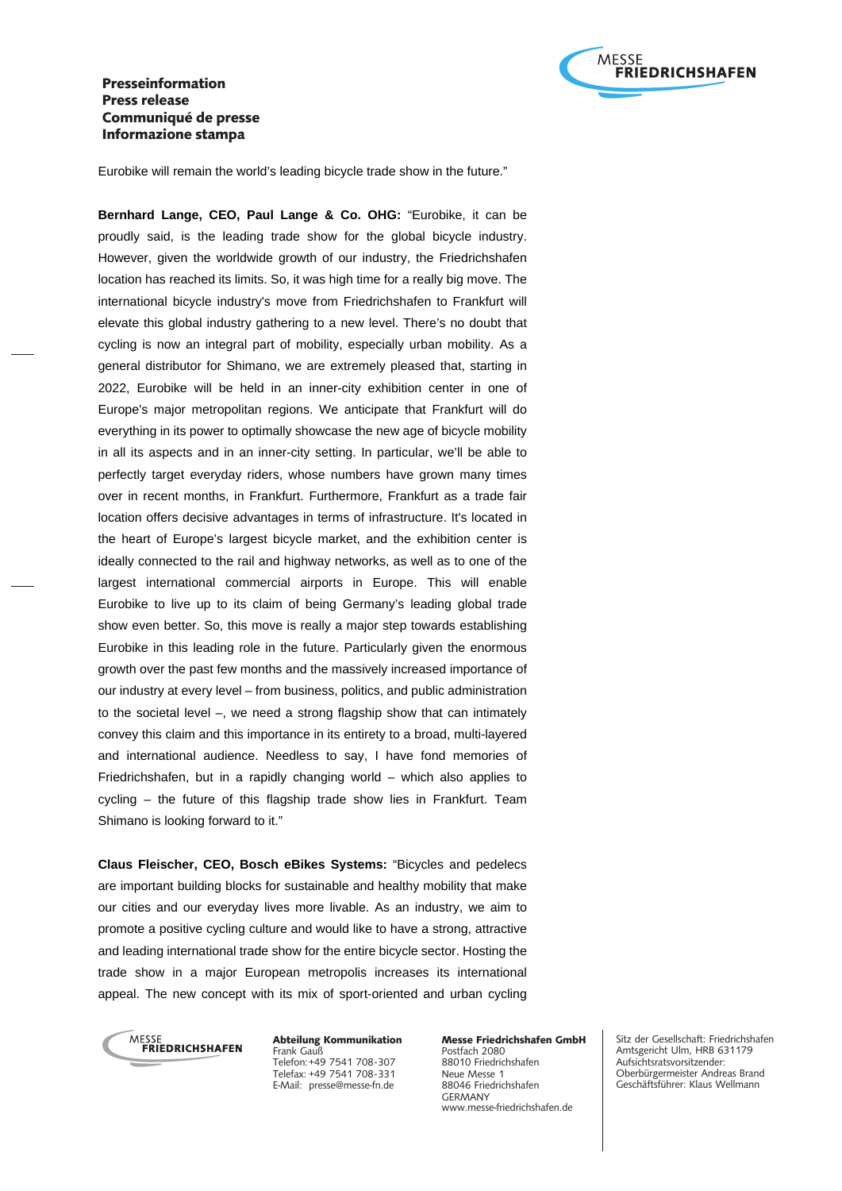

Eurobike will remain the world's leading bicycle trade show in the future."

**Bernhard Lange, CEO, Paul Lange & Co. OHG:** "Eurobike, it can be proudly said, is the leading trade show for the global bicycle industry. However, given the worldwide growth of our industry, the Friedrichshafen location has reached its limits. So, it was high time for a really big move. The international bicycle industry's move from Friedrichshafen to Frankfurt will elevate this global industry gathering to a new level. There's no doubt that cycling is now an integral part of mobility, especially urban mobility. As a general distributor for Shimano, we are extremely pleased that, starting in 2022, Eurobike will be held in an inner-city exhibition center in one of Europe's major metropolitan regions. We anticipate that Frankfurt will do everything in its power to optimally showcase the new age of bicycle mobility in all its aspects and in an inner-city setting. In particular, we'll be able to perfectly target everyday riders, whose numbers have grown many times over in recent months, in Frankfurt. Furthermore, Frankfurt as a trade fair location offers decisive advantages in terms of infrastructure. It's located in the heart of Europe's largest bicycle market, and the exhibition center is ideally connected to the rail and highway networks, as well as to one of the largest international commercial airports in Europe. This will enable Eurobike to live up to its claim of being Germany's leading global trade show even better. So, this move is really a major step towards establishing Eurobike in this leading role in the future. Particularly given the enormous growth over the past few months and the massively increased importance of our industry at every level – from business, politics, and public administration to the societal level –, we need a strong flagship show that can intimately convey this claim and this importance in its entirety to a broad, multi-layered and international audience. Needless to say, I have fond memories of Friedrichshafen, but in a rapidly changing world – which also applies to cycling – the future of this flagship trade show lies in Frankfurt. Team Shimano is looking forward to it."

**Claus Fleischer, CEO, Bosch eBikes Systems:** "Bicycles and pedelecs are important building blocks for sustainable and healthy mobility that make our cities and our everyday lives more livable. As an industry, we aim to promote a positive cycling culture and would like to have a strong, attractive and leading international trade show for the entire bicycle sector. Hosting the trade show in a major European metropolis increases its international appeal. The new concept with its mix of sport-oriented and urban cycling



Abteilung Kommunikation Frank Gauß Telefon: +49 7541 708-307 Telefax: +49 7541 708-331 E-Mail: presse@messe-fn.de

Messe Friedrichshafen GmbH Postfach 2080 88010 Friedrichshafen Neue Messe 1 88046 Friedrichshafen GERMANY www.messe-friedrichshafen.de